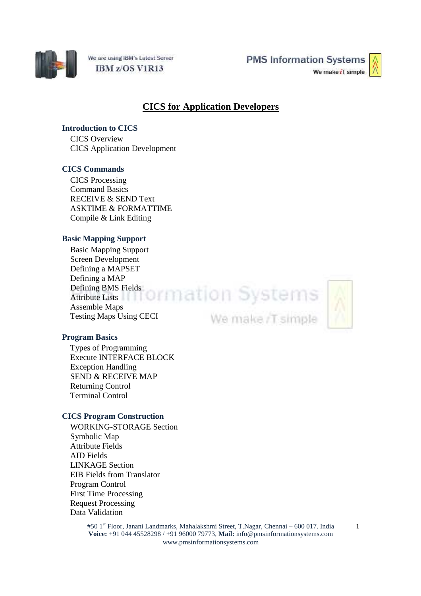

We are using IBM's Latest Server IBM z/OS V1R13

**PMS Information Systems** We make iT simple



# **CICS for Application Developers**

## **Introduction to CICS**

CICS Overview CICS Application Development

## **CICS Commands**

CICS Processing Command Basics RECEIVE & SEND Text ASKTIME & FORMATTIME Compile & Link Editing

## **Basic Mapping Support**

Basic Mapping Support Screen Development Defining a MAPSET Defining a MAP Defining BMS Fields:<br>Attribute Lists<br> $\begin{array}{c} \hline \text{A} \text{tribute Lists} \end{array}$ Attribute Lists Assemble Maps Testing Maps Using CECI

We make /T simple



#### **Program Basics**

Types of Programming Execute INTERFACE BLOCK Exception Handling SEND & RECEIVE MAP Returning Control Terminal Control

#### **CICS Program Construction**

WORKING-STORAGE Section Symbolic Map Attribute Fields AID Fields LINKAGE Section EIB Fields from Translator Program Control First Time Processing Request Processing Data Validation

> #50 1st Floor, Janani Landmarks, Mahalakshmi Street, T.Nagar, Chennai – 600 017. India **Voice:** +91 044 45528298 / +91 96000 79773, **Mail:** info@pmsinformationsystems.com www.pmsinformationsystems.com

1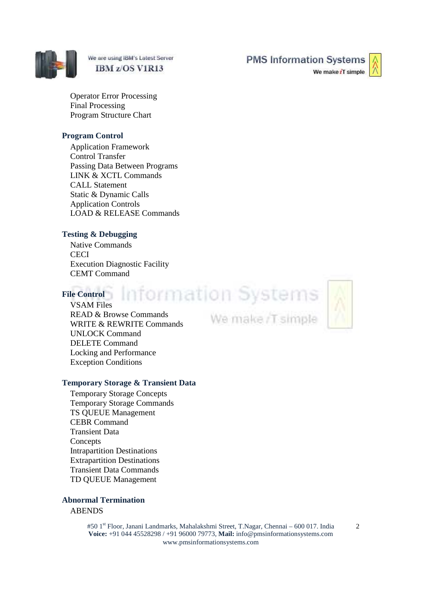

We are using IBM's Latest Server IBM z/OS V1R13

**PMS Information Systems** 

We make iT simple

Operator Error Processing Final Processing Program Structure Chart

#### **Program Control**

Application Framework Control Transfer Passing Data Between Programs LINK & XCTL Commands CALL Statement Static & Dynamic Calls Application Controls LOAD & RELEASE Commands

## **Testing & Debugging**

Native Commands **CECI** Execution Diagnostic Facility CEMT Command

## **File Control**

Information Systems We make /T simple

VSAM Files READ & Browse Commands WRITE & REWRITE Commands UNLOCK Command DELETE Command Locking and Performance Exception Conditions

## **Temporary Storage & Transient Data**

Temporary Storage Concepts Temporary Storage Commands TS QUEUE Management CEBR Command Transient Data Concepts Intrapartition Destinations Extrapartition Destinations Transient Data Commands TD QUEUE Management

## **Abnormal Termination**

## **ABENDS**

#50 1st Floor, Janani Landmarks, Mahalakshmi Street, T.Nagar, Chennai – 600 017. India **Voice:** +91 044 45528298 / +91 96000 79773, **Mail:** info@pmsinformationsystems.com www.pmsinformationsystems.com

2